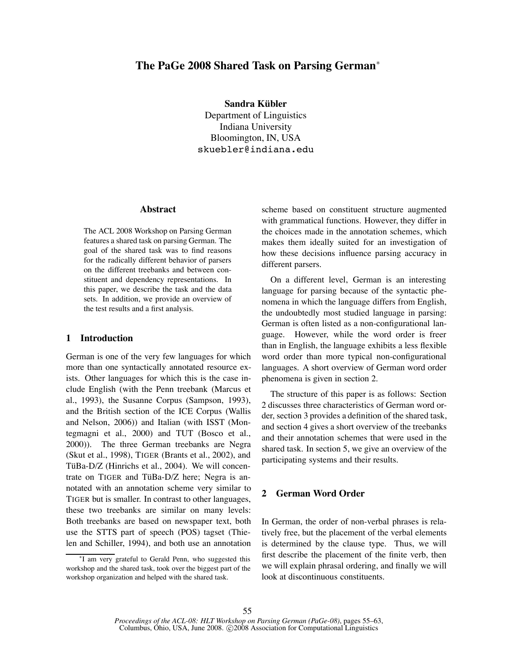# **The PaGe 2008 Shared Task on Parsing German**<sup>∗</sup>

**Sandra Kubler ¨** Department of Linguistics Indiana University Bloomington, IN, USA skuebler@indiana.edu

#### **Abstract**

The ACL 2008 Workshop on Parsing German features a shared task on parsing German. The goal of the shared task was to find reasons for the radically different behavior of parsers on the different treebanks and between constituent and dependency representations. In this paper, we describe the task and the data sets. In addition, we provide an overview of the test results and a first analysis.

### **1 Introduction**

German is one of the very few languages for which more than one syntactically annotated resource exists. Other languages for which this is the case include English (with the Penn treebank (Marcus et al., 1993), the Susanne Corpus (Sampson, 1993), and the British section of the ICE Corpus (Wallis and Nelson, 2006)) and Italian (with ISST (Montegmagni et al., 2000) and TUT (Bosco et al., 2000)). The three German treebanks are Negra (Skut et al., 1998), TIGER (Brants et al., 2002), and TüBa-D/Z (Hinrichs et al., 2004). We will concentrate on TIGER and TüBa-D/Z here; Negra is annotated with an annotation scheme very similar to TIGER but is smaller. In contrast to other languages, these two treebanks are similar on many levels: Both treebanks are based on newspaper text, both use the STTS part of speech (POS) tagset (Thielen and Schiller, 1994), and both use an annotation

scheme based on constituent structure augmented with grammatical functions. However, they differ in the choices made in the annotation schemes, which makes them ideally suited for an investigation of how these decisions influence parsing accuracy in different parsers.

On a different level, German is an interesting language for parsing because of the syntactic phenomena in which the language differs from English, the undoubtedly most studied language in parsing: German is often listed as a non-configurational language. However, while the word order is freer than in English, the language exhibits a less flexible word order than more typical non-configurational languages. A short overview of German word order phenomena is given in section 2.

The structure of this paper is as follows: Section 2 discusses three characteristics of German word order, section 3 provides a definition of the shared task, and section 4 gives a short overview of the treebanks and their annotation schemes that were used in the shared task. In section 5, we give an overview of the participating systems and their results.

# **2 German Word Order**

In German, the order of non-verbal phrases is relatively free, but the placement of the verbal elements is determined by the clause type. Thus, we will first describe the placement of the finite verb, then we will explain phrasal ordering, and finally we will look at discontinuous constituents.

<sup>∗</sup>I am very grateful to Gerald Penn, who suggested this workshop and the shared task, took over the biggest part of the workshop organization and helped with the shared task.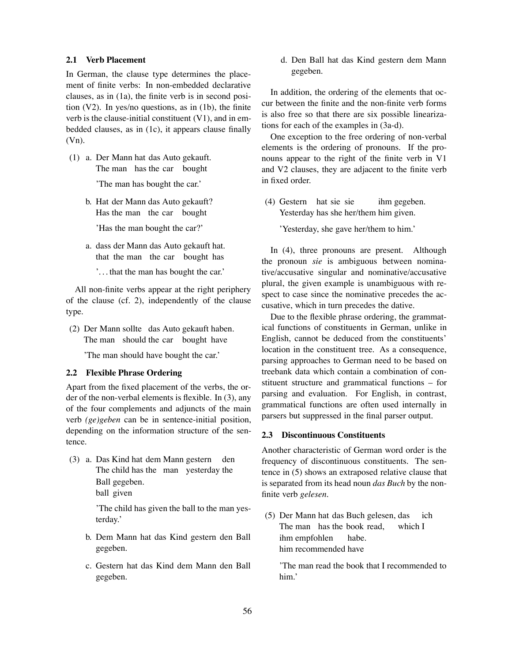## **2.1 Verb Placement**

In German, the clause type determines the placement of finite verbs: In non-embedded declarative clauses, as in (1a), the finite verb is in second position (V2). In yes/no questions, as in (1b), the finite verb is the clause-initial constituent  $(V1)$ , and in embedded clauses, as in (1c), it appears clause finally (Vn).

- (1) a. Der Mann hat das Auto gekauft. The man has the car bought 'The man has bought the car.'
	- b. Hat der Mann das Auto gekauft? Has the man the car bought 'Has the man bought the car?'
	- a. dass der Mann das Auto gekauft hat. that the man the car bought has
		- '. . . that the man has bought the car.'

All non-finite verbs appear at the right periphery of the clause (cf. 2), independently of the clause type.

(2) Der Mann sollte das Auto gekauft haben. The man should the car bought have

'The man should have bought the car.'

# **2.2 Flexible Phrase Ordering**

Apart from the fixed placement of the verbs, the order of the non-verbal elements is flexible. In (3), any of the four complements and adjuncts of the main verb *(ge)geben* can be in sentence-initial position, depending on the information structure of the sentence.

(3) a. Das Kind hat dem Mann gestern The child has the man yesterday the den Ball gegeben. ball given

> 'The child has given the ball to the man yesterday.'

- b. Dem Mann hat das Kind gestern den Ball gegeben.
- c. Gestern hat das Kind dem Mann den Ball gegeben.

d. Den Ball hat das Kind gestern dem Mann gegeben.

In addition, the ordering of the elements that occur between the finite and the non-finite verb forms is also free so that there are six possible linearizations for each of the examples in (3a-d).

One exception to the free ordering of non-verbal elements is the ordering of pronouns. If the pronouns appear to the right of the finite verb in V1 and V2 clauses, they are adjacent to the finite verb in fixed order.

(4) Gestern hat sie sie Yesterday has she her/them him given. ihm gegeben.

'Yesterday, she gave her/them to him.'

In (4), three pronouns are present. Although the pronoun *sie* is ambiguous between nominative/accusative singular and nominative/accusative plural, the given example is unambiguous with respect to case since the nominative precedes the accusative, which in turn precedes the dative.

Due to the flexible phrase ordering, the grammatical functions of constituents in German, unlike in English, cannot be deduced from the constituents' location in the constituent tree. As a consequence, parsing approaches to German need to be based on treebank data which contain a combination of constituent structure and grammatical functions – for parsing and evaluation. For English, in contrast, grammatical functions are often used internally in parsers but suppressed in the final parser output.

#### **2.3 Discontinuous Constituents**

Another characteristic of German word order is the frequency of discontinuous constituents. The sentence in (5) shows an extraposed relative clause that is separated from its head noun *das Buch* by the nonfinite verb *gelesen*.

(5) Der Mann hat das Buch gelesen, das The man has the book read, which I ich ihm empfohlen him recommended have habe.

'The man read the book that I recommended to him.'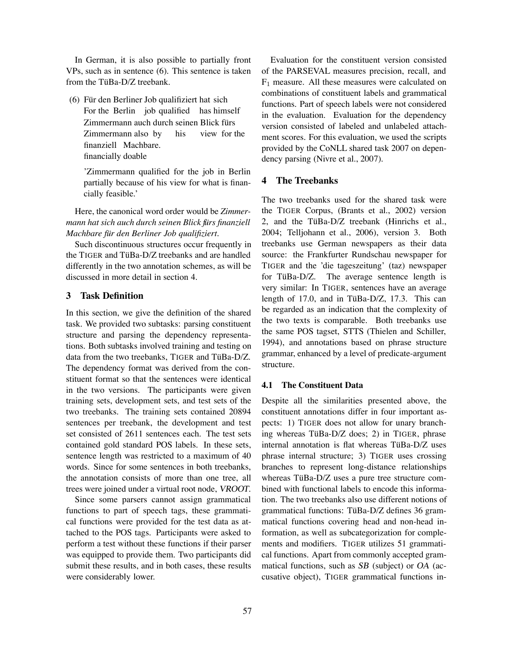In German, it is also possible to partially front VPs, such as in sentence (6). This sentence is taken from the TüBa-D/Z treebank.

(6) Für den Berliner Job qualifiziert hat sich For the Berlin job qualified has himself Zimmermann auch durch seinen Blick fürs Zimmermann also by his view for the finanziell Machbare. financially doable

'Zimmermann qualified for the job in Berlin partially because of his view for what is financially feasible.'

Here, the canonical word order would be *Zimmermann hat sich auch durch seinen Blick fur¨ s finanziell Machbare fur¨ den Berliner Job qualifiziert*.

Such discontinuous structures occur frequently in the TIGER and TüBa-D/Z treebanks and are handled differently in the two annotation schemes, as will be discussed in more detail in section 4.

# **3 Task Definition**

In this section, we give the definition of the shared task. We provided two subtasks: parsing constituent structure and parsing the dependency representations. Both subtasks involved training and testing on data from the two treebanks, TIGER and TüBa-D/Z. The dependency format was derived from the constituent format so that the sentences were identical in the two versions. The participants were given training sets, development sets, and test sets of the two treebanks. The training sets contained 20894 sentences per treebank, the development and test set consisted of 2611 sentences each. The test sets contained gold standard POS labels. In these sets, sentence length was restricted to a maximum of 40 words. Since for some sentences in both treebanks, the annotation consists of more than one tree, all trees were joined under a virtual root node, VROOT.

Since some parsers cannot assign grammatical functions to part of speech tags, these grammatical functions were provided for the test data as attached to the POS tags. Participants were asked to perform a test without these functions if their parser was equipped to provide them. Two participants did submit these results, and in both cases, these results were considerably lower.

Evaluation for the constituent version consisted of the PARSEVAL measures precision, recall, and  $F_1$  measure. All these measures were calculated on combinations of constituent labels and grammatical functions. Part of speech labels were not considered in the evaluation. Evaluation for the dependency version consisted of labeled and unlabeled attachment scores. For this evaluation, we used the scripts provided by the CoNLL shared task 2007 on dependency parsing (Nivre et al., 2007).

## **4 The Treebanks**

The two treebanks used for the shared task were the TIGER Corpus, (Brants et al., 2002) version 2, and the TüBa-D/Z treebank (Hinrichs et al., 2004; Telljohann et al., 2006), version 3. Both treebanks use German newspapers as their data source: the Frankfurter Rundschau newspaper for TIGER and the 'die tageszeitung' (taz) newspaper for TüBa-D/Z. The average sentence length is very similar: In TIGER, sentences have an average length of 17.0, and in TüBa-D/Z, 17.3. This can be regarded as an indication that the complexity of the two texts is comparable. Both treebanks use the same POS tagset, STTS (Thielen and Schiller, 1994), and annotations based on phrase structure grammar, enhanced by a level of predicate-argument structure.

## **4.1 The Constituent Data**

Despite all the similarities presented above, the constituent annotations differ in four important aspects: 1) TIGER does not allow for unary branching whereas TüBa- $D/Z$  does; 2) in TIGER, phrase internal annotation is flat whereas TüBa-D/Z uses phrase internal structure; 3) TIGER uses crossing branches to represent long-distance relationships whereas TüBa-D/Z uses a pure tree structure combined with functional labels to encode this information. The two treebanks also use different notions of grammatical functions: TüBa-D/Z defines 36 grammatical functions covering head and non-head information, as well as subcategorization for complements and modifiers. TIGER utilizes 51 grammatical functions. Apart from commonly accepted grammatical functions, such as SB (subject) or OA (accusative object), TIGER grammatical functions in-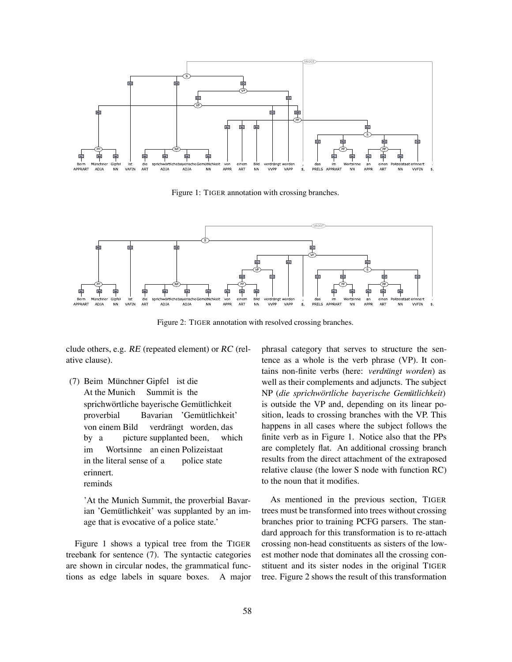

Figure 1: TIGER annotation with crossing branches.



Figure 2: TIGER annotation with resolved crossing branches.

clude others, e.g. RE (repeated element) or RC (relative clause).

(7) Beim Münchner Gipfel ist die At the Munich Summit is the sprichwörtliche bayerische Gemütlichkeit proverbial Bavarian 'Gemütlichkeit' von einem Bild by a picture supplanted been, verdrängt worden, das which im in the literal sense of a Wortsinne an einen Polizeistaat police state erinnert. reminds

'At the Munich Summit, the proverbial Bavarian 'Gemütlichkeit' was supplanted by an image that is evocative of a police state.'

Figure 1 shows a typical tree from the TIGER treebank for sentence (7). The syntactic categories are shown in circular nodes, the grammatical functions as edge labels in square boxes. A major phrasal category that serves to structure the sentence as a whole is the verb phrase (VP). It contains non-finite verbs (here: *verdrängt worden*) as well as their complements and adjuncts. The subject NP (*die sprichwortlic ¨ he bayerische Gemutlic ¨ hkeit*) is outside the VP and, depending on its linear position, leads to crossing branches with the VP. This happens in all cases where the subject follows the finite verb as in Figure 1. Notice also that the PPs are completely flat. An additional crossing branch results from the direct attachment of the extraposed relative clause (the lower S node with function RC) to the noun that it modifies.

As mentioned in the previous section, TIGER trees must be transformed into trees without crossing branches prior to training PCFG parsers. The standard approach for this transformation is to re-attach crossing non-head constituents as sisters of the lowest mother node that dominates all the crossing constituent and its sister nodes in the original TIGER tree. Figure 2 shows the result of this transformation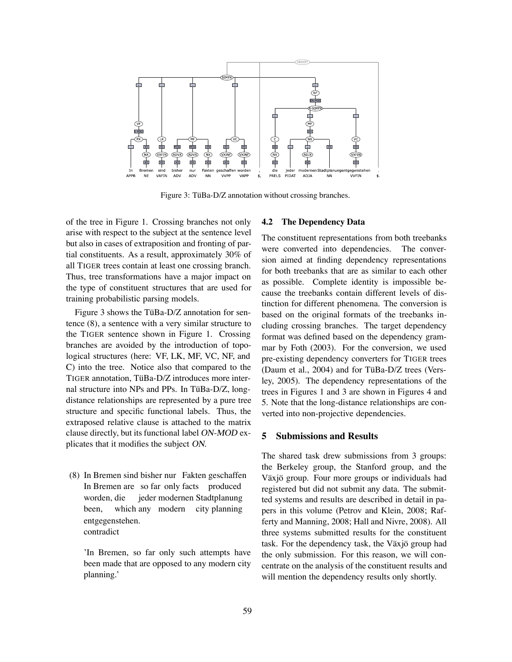

Figure 3: TüBa-D/Z annotation without crossing branches.

of the tree in Figure 1. Crossing branches not only arise with respect to the subject at the sentence level but also in cases of extraposition and fronting of partial constituents. As a result, approximately 30% of all TIGER trees contain at least one crossing branch. Thus, tree transformations have a major impact on the type of constituent structures that are used for training probabilistic parsing models.

Figure 3 shows the TüBa- $D/Z$  annotation for sentence (8), a sentence with a very similar structure to the TIGER sentence shown in Figure 1. Crossing branches are avoided by the introduction of topological structures (here: VF, LK, MF, VC, NF, and C) into the tree. Notice also that compared to the TIGER annotation, TüBa-D/Z introduces more internal structure into NPs and PPs. In TüBa-D/Z, longdistance relationships are represented by a pure tree structure and specific functional labels. Thus, the extraposed relative clause is attached to the matrix clause directly, but its functional label ON-MOD explicates that it modifies the subject ON.

(8) In Bremen sind bisher nur Fakten geschaffen In Bremen are so far only facts produced worden, die been, which any modern city planning jeder modernen Stadtplanung entgegenstehen. contradict

'In Bremen, so far only such attempts have been made that are opposed to any modern city planning.'

#### **4.2 The Dependency Data**

The constituent representations from both treebanks were converted into dependencies. The conversion aimed at finding dependency representations for both treebanks that are as similar to each other as possible. Complete identity is impossible because the treebanks contain different levels of distinction for different phenomena. The conversion is based on the original formats of the treebanks including crossing branches. The target dependency format was defined based on the dependency grammar by Foth (2003). For the conversion, we used pre-existing dependency converters for TIGER trees (Daum et al.,  $2004$ ) and for TüBa-D/Z trees (Versley, 2005). The dependency representations of the trees in Figures 1 and 3 are shown in Figures 4 and 5. Note that the long-distance relationships are converted into non-projective dependencies.

## **5 Submissions and Results**

The shared task drew submissions from 3 groups: the Berkeley group, the Stanford group, and the Växjö group. Four more groups or individuals had registered but did not submit any data. The submitted systems and results are described in detail in papers in this volume (Petrov and Klein, 2008; Rafferty and Manning, 2008; Hall and Nivre, 2008). All three systems submitted results for the constituent task. For the dependency task, the Växjö group had the only submission. For this reason, we will concentrate on the analysis of the constituent results and will mention the dependency results only shortly.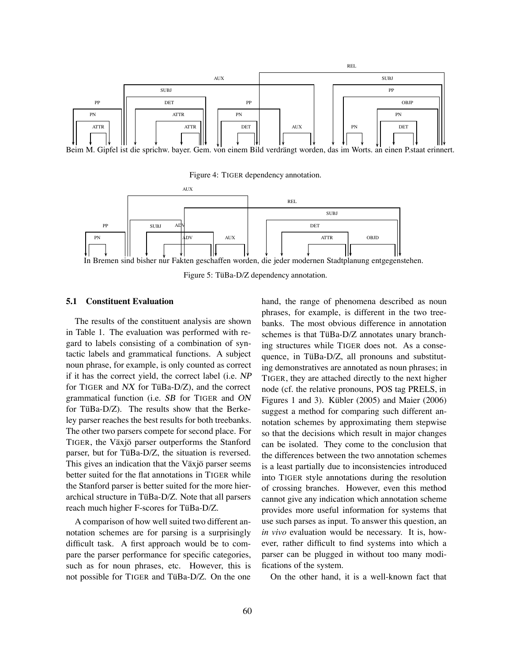

Beim M. Gipfel ist die sprichw. bayer. Gem. von einem Bild verdrängt worden, das im Worts. an einen P.staat erinnert.

Figure 4: TIGER dependency annotation.



In Bremen sind bisher nur Fakten geschaffen worden, die jeder modernen Stadtplanung entgegenstehen.

Figure 5: TüBa-D/Z dependency annotation.

#### **5.1 Constituent Evaluation**

The results of the constituent analysis are shown in Table 1. The evaluation was performed with regard to labels consisting of a combination of syntactic labels and grammatical functions. A subject noun phrase, for example, is only counted as correct if it has the correct yield, the correct label (i.e. NP for TIGER and  $NX$  for TüBa-D/Z), and the correct grammatical function (i.e. SB for TIGER and ON for TüBa-D/Z). The results show that the Berkeley parser reaches the best results for both treebanks. The other two parsers compete for second place. For TIGER, the Växjö parser outperforms the Stanford parser, but for TüBa-D/Z, the situation is reversed. This gives an indication that the Växjö parser seems better suited for the flat annotations in TIGER while the Stanford parser is better suited for the more hierarchical structure in TüBa-D/Z. Note that all parsers reach much higher F-scores for TüBa-D/Z.

A comparison of how well suited two different annotation schemes are for parsing is a surprisingly difficult task. A first approach would be to compare the parser performance for specific categories, such as for noun phrases, etc. However, this is not possible for TIGER and TüBa-D/Z. On the one hand, the range of phenomena described as noun phrases, for example, is different in the two treebanks. The most obvious difference in annotation schemes is that TüBa-D/Z annotates unary branching structures while TIGER does not. As a consequence, in TüBa-D/Z, all pronouns and substituting demonstratives are annotated as noun phrases; in TIGER, they are attached directly to the next higher node (cf. the relative pronouns, POS tag PRELS, in Figures 1 and 3). Kübler  $(2005)$  and Maier  $(2006)$ suggest a method for comparing such different annotation schemes by approximating them stepwise so that the decisions which result in major changes can be isolated. They come to the conclusion that the differences between the two annotation schemes is a least partially due to inconsistencies introduced into TIGER style annotations during the resolution of crossing branches. However, even this method cannot give any indication which annotation scheme provides more useful information for systems that use such parses as input. To answer this question, an *in vivo* evaluation would be necessary. It is, however, rather difficult to find systems into which a parser can be plugged in without too many modifications of the system.

On the other hand, it is a well-known fact that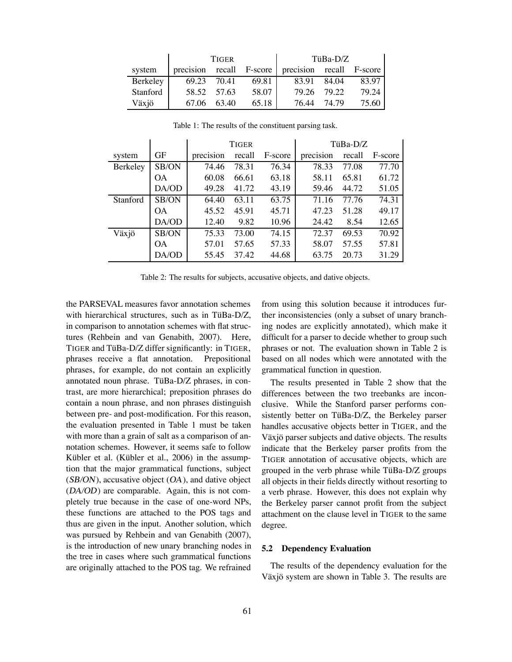|          | <b>TIGER</b> |             |       | $TiBa-D/Z$                                        |       |       |
|----------|--------------|-------------|-------|---------------------------------------------------|-------|-------|
| system   |              |             |       | precision recall F-score precision recall F-score |       |       |
| Berkeley | 69.23        | 70.41       | 69.81 | 83.91                                             | 84.04 | 83.97 |
| Stanford |              | 58.52 57.63 | 58.07 | 79.26                                             | 79.22 | 79.24 |
| Växjö    |              | 67.06 63.40 | 65.18 | 76.44                                             | 74.79 | 75.60 |

|          |           | <b>TIGER</b> |        |         | TüBa-D/Z  |        |         |
|----------|-----------|--------------|--------|---------|-----------|--------|---------|
| system   | GF        | precision    | recall | F-score | precision | recall | F-score |
| Berkeley | SB/ON     | 74.46        | 78.31  | 76.34   | 78.33     | 77.08  | 77.70   |
|          | <b>OA</b> | 60.08        | 66.61  | 63.18   | 58.11     | 65.81  | 61.72   |
|          | DA/OD     | 49.28        | 41.72  | 43.19   | 59.46     | 44.72  | 51.05   |
| Stanford | SB/ON     | 64.40        | 63.11  | 63.75   | 71.16     | 77.76  | 74.31   |
|          | OΑ        | 45.52        | 45.91  | 45.71   | 47.23     | 51.28  | 49.17   |
|          | DA/OD     | 12.40        | 9.82   | 10.96   | 24.42     | 8.54   | 12.65   |
| Växjö    | SB/ON     | 75.33        | 73.00  | 74.15   | 72.37     | 69.53  | 70.92   |
|          | OA.       | 57.01        | 57.65  | 57.33   | 58.07     | 57.55  | 57.81   |
|          | DA/OD     | 55.45        | 37.42  | 44.68   | 63.75     | 20.73  | 31.29   |

Table 1: The results of the constituent parsing task.

Table 2: The results for subjects, accusative objects, and dative objects.

the PARSEVAL measures favor annotation schemes with hierarchical structures, such as in TüBa-D/Z, in comparison to annotation schemes with flat structures (Rehbein and van Genabith, 2007). Here, TIGER and TüBa- $D/Z$  differ significantly: in TIGER, phrases receive a flat annotation. Prepositional phrases, for example, do not contain an explicitly annotated noun phrase. TüBa-D/Z phrases, in contrast, are more hierarchical; preposition phrases do contain a noun phrase, and non phrases distinguish between pre- and post-modification. For this reason, the evaluation presented in Table 1 must be taken with more than a grain of salt as a comparison of annotation schemes. However, it seems safe to follow Kübler et al. (Kübler et al., 2006) in the assumption that the major grammatical functions, subject  $(SB/ON)$ , accusative object  $(OA)$ , and dative object (DA/OD) are comparable. Again, this is not completely true because in the case of one-word NPs, these functions are attached to the POS tags and thus are given in the input. Another solution, which was pursued by Rehbein and van Genabith (2007), is the introduction of new unary branching nodes in the tree in cases where such grammatical functions are originally attached to the POS tag. We refrained

from using this solution because it introduces further inconsistencies (only a subset of unary branching nodes are explicitly annotated), which make it difficult for a parser to decide whether to group such phrases or not. The evaluation shown in Table 2 is based on all nodes which were annotated with the grammatical function in question.

The results presented in Table 2 show that the differences between the two treebanks are inconclusive. While the Stanford parser performs consistently better on TüBa-D/Z, the Berkeley parser handles accusative objects better in TIGER, and the Växjö parser subjects and dative objects. The results indicate that the Berkeley parser profits from the TIGER annotation of accusative objects, which are grouped in the verb phrase while  $TiIBa-D/Z$  groups all objects in their fields directly without resorting to a verb phrase. However, this does not explain why the Berkeley parser cannot profit from the subject attachment on the clause level in TIGER to the same degree.

#### **5.2 Dependency Evaluation**

The results of the dependency evaluation for the Växjö system are shown in Table 3. The results are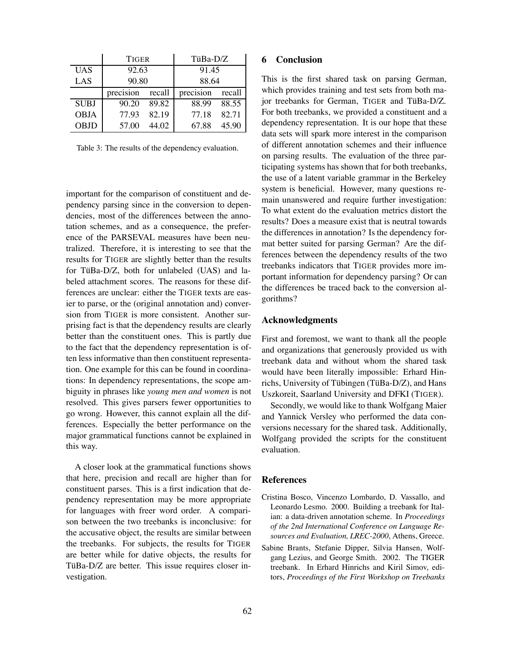|             | <b>TIGER</b> |        | TüBa-D/Z  |        |  |
|-------------|--------------|--------|-----------|--------|--|
| <b>UAS</b>  | 92.63        |        | 91.45     |        |  |
| LAS         | 90.80        |        | 88.64     |        |  |
|             | precision    | recall | precision | recall |  |
| <b>SUBJ</b> | 90.20        | 89.82  | 88.99     | 88.55  |  |
| <b>OBJA</b> | 77.93        | 82.19  | 77.18     | 82.71  |  |
| <b>OBJD</b> | 57.00        | 44.02  | 67.88     | 45.90  |  |

Table 3: The results of the dependency evaluation.

important for the comparison of constituent and dependency parsing since in the conversion to dependencies, most of the differences between the annotation schemes, and as a consequence, the preference of the PARSEVAL measures have been neutralized. Therefore, it is interesting to see that the results for TIGER are slightly better than the results for TüBa-D/Z, both for unlabeled (UAS) and labeled attachment scores. The reasons for these differences are unclear: either the TIGER texts are easier to parse, or the (original annotation and) conversion from TIGER is more consistent. Another surprising fact is that the dependency results are clearly better than the constituent ones. This is partly due to the fact that the dependency representation is often less informative than then constituent representation. One example for this can be found in coordinations: In dependency representations, the scope ambiguity in phrases like *young men and women* is not resolved. This gives parsers fewer opportunities to go wrong. However, this cannot explain all the differences. Especially the better performance on the major grammatical functions cannot be explained in this way.

A closer look at the grammatical functions shows that here, precision and recall are higher than for constituent parses. This is a first indication that dependency representation may be more appropriate for languages with freer word order. A comparison between the two treebanks is inconclusive: for the accusative object, the results are similar between the treebanks. For subjects, the results for TIGER are better while for dative objects, the results for TüBa-D/Z are better. This issue requires closer investigation.

## **6 Conclusion**

This is the first shared task on parsing German, which provides training and test sets from both major treebanks for German, TIGER and TüBa-D/Z. For both treebanks, we provided a constituent and a dependency representation. It is our hope that these data sets will spark more interest in the comparison of different annotation schemes and their influence on parsing results. The evaluation of the three participating systems has shown that for both treebanks, the use of a latent variable grammar in the Berkeley system is beneficial. However, many questions remain unanswered and require further investigation: To what extent do the evaluation metrics distort the results? Does a measure exist that is neutral towards the differences in annotation? Is the dependency format better suited for parsing German? Are the differences between the dependency results of the two treebanks indicators that TIGER provides more important information for dependency parsing? Or can the differences be traced back to the conversion algorithms?

#### **Acknowledgments**

First and foremost, we want to thank all the people and organizations that generously provided us with treebank data and without whom the shared task would have been literally impossible: Erhard Hinrichs, University of Tübingen (TüBa- $D/Z$ ), and Hans Uszkoreit, Saarland University and DFKI (TIGER).

Secondly, we would like to thank Wolfgang Maier and Yannick Versley who performed the data conversions necessary for the shared task. Additionally, Wolfgang provided the scripts for the constituent evaluation.

# **References**

- Cristina Bosco, Vincenzo Lombardo, D. Vassallo, and Leonardo Lesmo. 2000. Building a treebank for Italian: a data-driven annotation scheme. In *Proceedings of the 2nd International Conference on Language Resources and Evaluation, LREC-2000*, Athens, Greece.
- Sabine Brants, Stefanie Dipper, Silvia Hansen, Wolfgang Lezius, and George Smith. 2002. The TIGER treebank. In Erhard Hinrichs and Kiril Simov, editors, *Proceedings of the First Workshop on Treebanks*